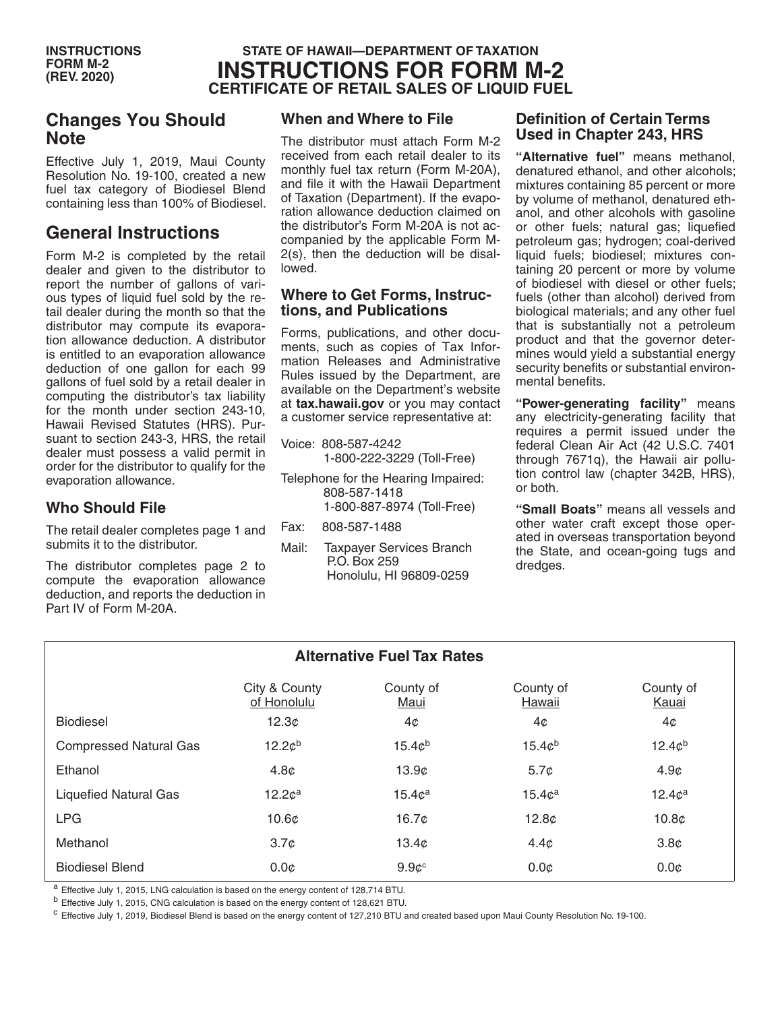## **STATE OF HAWAII—DEPARTMENT OF TAXATION INSTRUCTIONS FOR FORM M-2 CERTIFICATE OF RETAIL SALES OF LIQUID FUEL**

# **Changes You Should Note**

Effective July 1, 2019, Maui County Resolution No. 19-100, created a new fuel tax category of Biodiesel Blend containing less than 100% of Biodiesel.

# **General Instructions**

Form M-2 is completed by the retail dealer and given to the distributor to report the number of gallons of various types of liquid fuel sold by the retail dealer during the month so that the distributor may compute its evaporation allowance deduction. A distributor is entitled to an evaporation allowance deduction of one gallon for each 99 gallons of fuel sold by a retail dealer in computing the distributor's tax liability for the month under section 243-10, Hawaii Revised Statutes (HRS). Pursuant to section 243-3, HRS, the retail dealer must possess a valid permit in order for the distributor to qualify for the evaporation allowance.

## **Who Should File**

The retail dealer completes page 1 and submits it to the distributor.

The distributor completes page 2 to compute the evaporation allowance deduction, and reports the deduction in Part IV of Form M-20A.

## **When and Where to File**

The distributor must attach Form M-2 received from each retail dealer to its monthly fuel tax return (Form M-20A), and file it with the Hawaii Department of Taxation (Department). If the evaporation allowance deduction claimed on the distributor's Form M-20A is not accompanied by the applicable Form M-2(s), then the deduction will be disallowed.

#### **Where to Get Forms, Instructions, and Publications**

Forms, publications, and other documents, such as copies of Tax Information Releases and Administrative Rules issued by the Department, are available on the Department's website at **tax.hawaii.gov** or you may contact a customer service representative at:

- Voice: 808-587-4242 1-800-222-3229 (Toll-Free)
- Telephone for the Hearing Impaired: 808-587-1418 1-800-887-8974 (Toll-Free)
- Fax: 808-587-1488
- Mail: Taxpayer Services Branch P.O. Box 259 Honolulu, HI 96809-0259

#### **Definition of Certain Terms Used in Chapter 243, HRS**

**"Alternative fuel"** means methanol, denatured ethanol, and other alcohols; mixtures containing 85 percent or more by volume of methanol, denatured ethanol, and other alcohols with gasoline or other fuels; natural gas; liquefied petroleum gas; hydrogen; coal-derived liquid fuels; biodiesel; mixtures containing 20 percent or more by volume of biodiesel with diesel or other fuels; fuels (other than alcohol) derived from biological materials; and any other fuel that is substantially not a petroleum product and that the governor determines would yield a substantial energy security benefits or substantial environmental benefits.

**"Power-generating facility"** means any electricity-generating facility that requires a permit issued under the federal Clean Air Act (42 U.S.C. 7401 through 7671q), the Hawaii air pollution control law (chapter 342B, HRS), or both.

**"Small Boats"** means all vessels and other water craft except those operated in overseas transportation beyond the State, and ocean-going tugs and dredges.

| <b>Alternative Fuel Tax Rates</b> |                              |                    |                     |                    |
|-----------------------------------|------------------------------|--------------------|---------------------|--------------------|
|                                   | City & County<br>of Honolulu | County of<br>Maui  | County of<br>Hawaii | County of<br>Kauai |
| <b>Biodiesel</b>                  | 12.3 <sub>c</sub>            | 4¢                 | 4¢                  | 4¢                 |
| <b>Compressed Natural Gas</b>     | 12.2c <sup>b</sup>           | 15.4c <sup>b</sup> | 15.4c <sup>b</sup>  | 12.4c <sup>b</sup> |
| Ethanol                           | 4.8 <sub>c</sub>             | 13.9c              | 5.7 <sub>c</sub>    | 4.9 <sub>c</sub>   |
| <b>Liquefied Natural Gas</b>      | 12.2 <sup>a</sup>            | 15.4c <sup>a</sup> | 15.4c <sup>a</sup>  | 12.4c <sup>a</sup> |
| <b>LPG</b>                        | 10.6 <sub>c</sub>            | 16.7c              | 12.8 <sub>c</sub>   | 10.8 <sub>c</sub>  |
| Methanol                          | 3.7 <sub>c</sub>             | 13.4 <sub>c</sub>  | 4.4 <sub>c</sub>    | 3.8 <sub>c</sub>   |
| <b>Biodiesel Blend</b>            | 0.0 <sub>c</sub>             | $9.9c^c$           | $0.0\mathcal{C}$    | $0.0\mathcal{C}$   |

<sup>a</sup> Effective July 1, 2015, LNG calculation is based on the energy content of 128,714 BTU.

<sup>b</sup> Effective July 1, 2015, CNG calculation is based on the energy content of 128,621 BTU.

<sup>c</sup> Effective July 1, 2019, Biodiesel Blend is based on the energy content of 127,210 BTU and created based upon Maui County Resolution No. 19-100.